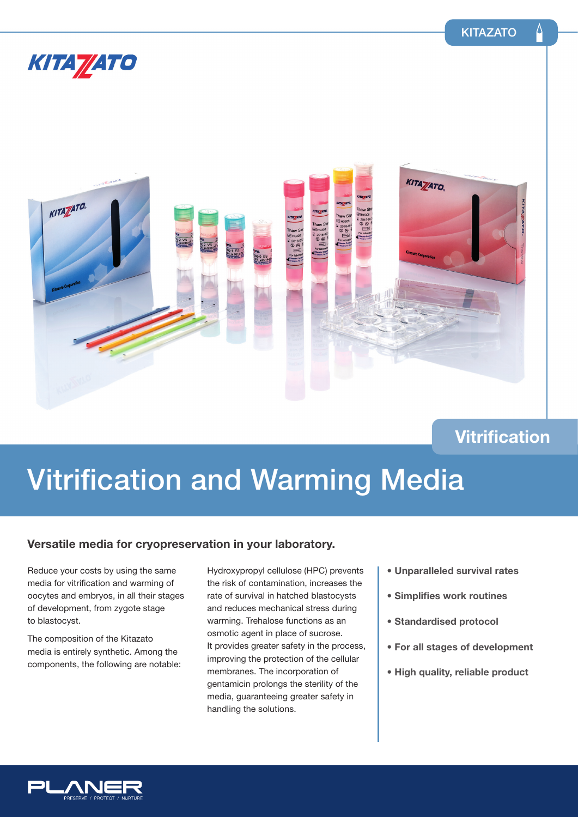## KITA **//**ATO



## **Vitrification**

# **Vitrification and Warming Media**

### **Versatile media for cryopreservation in your laboratory.**

Reduce your costs by using the same media for vitrification and warming of oocytes and embryos, in all their stages of development, from zygote stage to blastocyst.

The composition of the Kitazato media is entirely synthetic. Among the components, the following are notable:

Hydroxypropyl cellulose (HPC) prevents the risk of contamination, increases the rate of survival in hatched blastocysts and reduces mechanical stress during warming. Trehalose functions as an osmotic agent in place of sucrose. It provides greater safety in the process, improving the protection of the cellular membranes. The incorporation of gentamicin prolongs the sterility of the media, guaranteeing greater safety in handling the solutions.

- **Unparalleled survival rates**
- **Simplifies work routines**
- **Standardised protocol**
- **For all stages of development**
- **High quality, reliable product**